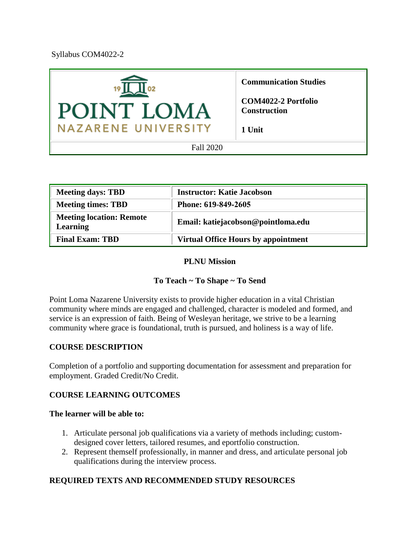Syllabus COM4022-2



| <b>Meeting days: TBD</b>                           | <b>Instructor: Katie Jacobson</b>          |
|----------------------------------------------------|--------------------------------------------|
| <b>Meeting times: TBD</b>                          | Phone: 619-849-2605                        |
| <b>Meeting location: Remote</b><br><b>Learning</b> | Email: katiejacobson@pointloma.edu         |
| <b>Final Exam: TBD</b>                             | <b>Virtual Office Hours by appointment</b> |

#### **PLNU Mission**

### **To Teach ~ To Shape ~ To Send**

Point Loma Nazarene University exists to provide higher education in a vital Christian community where minds are engaged and challenged, character is modeled and formed, and service is an expression of faith. Being of Wesleyan heritage, we strive to be a learning community where grace is foundational, truth is pursued, and holiness is a way of life.

### **COURSE DESCRIPTION**

Completion of a portfolio and supporting documentation for assessment and preparation for employment. Graded Credit/No Credit.

### **COURSE LEARNING OUTCOMES**

#### **The learner will be able to:**

- 1. Articulate personal job qualifications via a variety of methods including; customdesigned cover letters, tailored resumes, and eportfolio construction.
- 2. Represent themself professionally, in manner and dress, and articulate personal job qualifications during the interview process.

### **REQUIRED TEXTS AND RECOMMENDED STUDY RESOURCES**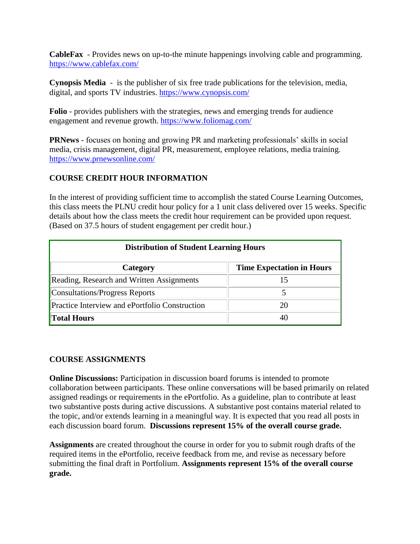**CableFax** - Provides news on up-to-the minute happenings involving cable and programming. <https://www.cablefax.com/>

**Cynopsis Media** - is the publisher of six free trade publications for the television, media, digital, and sports TV industries.<https://www.cynopsis.com/>

**Folio** - provides publishers with the strategies, news and emerging trends for audience engagement and revenue growth.<https://www.foliomag.com/>

**PRNews** - focuses on honing and growing PR and marketing professionals' skills in social media, crisis management, digital PR, measurement, employee relations, media training. <https://www.prnewsonline.com/>

## **COURSE CREDIT HOUR INFORMATION**

In the interest of providing sufficient time to accomplish the stated Course Learning Outcomes, this class meets the PLNU credit hour policy for a 1 unit class delivered over 15 weeks. Specific details about how the class meets the credit hour requirement can be provided upon request. (Based on 37.5 hours of student engagement per credit hour.)

| <b>Distribution of Student Learning Hours</b>         |                                  |  |
|-------------------------------------------------------|----------------------------------|--|
| Category                                              | <b>Time Expectation in Hours</b> |  |
| Reading, Research and Written Assignments             | 15                               |  |
| Consultations/Progress Reports                        |                                  |  |
| <b>Practice Interview and ePortfolio Construction</b> | 20                               |  |
| <b>Total Hours</b>                                    | 40                               |  |

### **COURSE ASSIGNMENTS**

**Online Discussions:** Participation in discussion board forums is intended to promote collaboration between participants. These online conversations will be based primarily on related assigned readings or requirements in the ePortfolio. As a guideline, plan to contribute at least two substantive posts during active discussions. A substantive post contains material related to the topic, and/or extends learning in a meaningful way. It is expected that you read all posts in each discussion board forum. **Discussions represent 15% of the overall course grade.**

**Assignments** are created throughout the course in order for you to submit rough drafts of the required items in the ePortfolio, receive feedback from me, and revise as necessary before submitting the final draft in Portfolium. **Assignments represent 15% of the overall course grade.**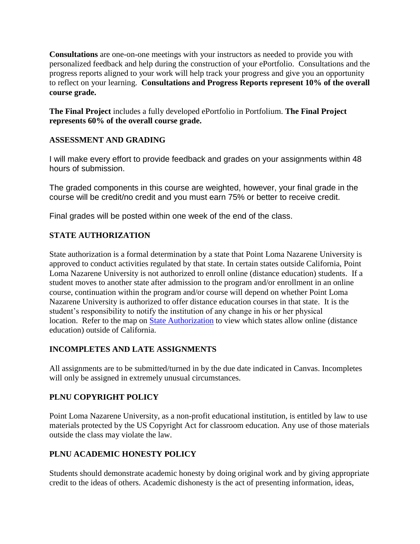**Consultations** are one-on-one meetings with your instructors as needed to provide you with personalized feedback and help during the construction of your ePortfolio. Consultations and the progress reports aligned to your work will help track your progress and give you an opportunity to reflect on your learning. **Consultations and Progress Reports represent 10% of the overall course grade.**

**The Final Project** includes a fully developed ePortfolio in Portfolium. **The Final Project represents 60% of the overall course grade.**

## **ASSESSMENT AND GRADING**

I will make every effort to provide feedback and grades on your assignments within 48 hours of submission.

The graded components in this course are weighted, however, your final grade in the course will be credit/no credit and you must earn 75% or better to receive credit.

Final grades will be posted within one week of the end of the class.

## **STATE AUTHORIZATION**

State authorization is a formal determination by a state that Point Loma Nazarene University is approved to conduct activities regulated by that state. In certain states outside California, Point Loma Nazarene University is not authorized to enroll online (distance education) students. If a student moves to another state after admission to the program and/or enrollment in an online course, continuation within the program and/or course will depend on whether Point Loma Nazarene University is authorized to offer distance education courses in that state. It is the student's responsibility to notify the institution of any change in his or her physical location. Refer to the map on [State Authorization](https://www.pointloma.edu/offices/office-institutional-effectiveness-research/disclosures) to view which states allow online (distance education) outside of California.

## **INCOMPLETES AND LATE ASSIGNMENTS**

All assignments are to be submitted/turned in by the due date indicated in Canvas. Incompletes will only be assigned in extremely unusual circumstances.

## **PLNU COPYRIGHT POLICY**

Point Loma Nazarene University, as a non-profit educational institution, is entitled by law to use materials protected by the US Copyright Act for classroom education. Any use of those materials outside the class may violate the law.

## **PLNU ACADEMIC HONESTY POLICY**

Students should demonstrate academic honesty by doing original work and by giving appropriate credit to the ideas of others. Academic dishonesty is the act of presenting information, ideas,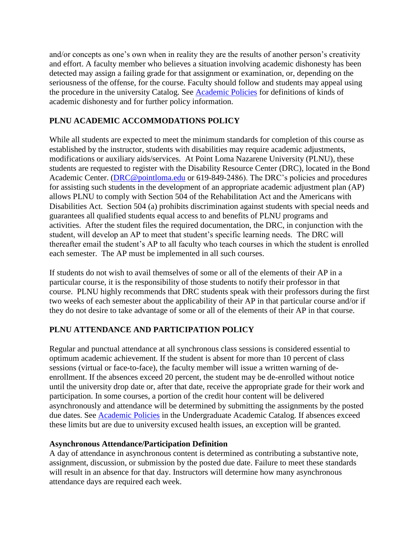and/or concepts as one's own when in reality they are the results of another person's creativity and effort. A faculty member who believes a situation involving academic dishonesty has been detected may assign a failing grade for that assignment or examination, or, depending on the seriousness of the offense, for the course. Faculty should follow and students may appeal using the procedure in the university Catalog. See [Academic Policies](http://catalog.pointloma.edu/content.php?catoid=18&navoid=1278) for definitions of kinds of academic dishonesty and for further policy information.

# **PLNU ACADEMIC ACCOMMODATIONS POLICY**

While all students are expected to meet the minimum standards for completion of this course as established by the instructor, students with disabilities may require academic adjustments, modifications or auxiliary aids/services. At Point Loma Nazarene University (PLNU), these students are requested to register with the Disability Resource Center (DRC), located in the Bond Academic Center. [\(DRC@pointloma.edu](mailto:DRC@pointloma.edu) or 619-849-2486). The DRC's policies and procedures for assisting such students in the development of an appropriate academic adjustment plan (AP) allows PLNU to comply with Section 504 of the Rehabilitation Act and the Americans with Disabilities Act. Section 504 (a) prohibits discrimination against students with special needs and guarantees all qualified students equal access to and benefits of PLNU programs and activities. After the student files the required documentation, the DRC, in conjunction with the student, will develop an AP to meet that student's specific learning needs. The DRC will thereafter email the student's AP to all faculty who teach courses in which the student is enrolled each semester. The AP must be implemented in all such courses.

If students do not wish to avail themselves of some or all of the elements of their AP in a particular course, it is the responsibility of those students to notify their professor in that course. PLNU highly recommends that DRC students speak with their professors during the first two weeks of each semester about the applicability of their AP in that particular course and/or if they do not desire to take advantage of some or all of the elements of their AP in that course.

## **PLNU ATTENDANCE AND PARTICIPATION POLICY**

Regular and punctual attendance at all synchronous class sessions is considered essential to optimum academic achievement. If the student is absent for more than 10 percent of class sessions (virtual or face-to-face), the faculty member will issue a written warning of deenrollment. If the absences exceed 20 percent, the student may be de-enrolled without notice until the university drop date or, after that date, receive the appropriate grade for their work and participation. In some courses, a portion of the credit hour content will be delivered asynchronously and attendance will be determined by submitting the assignments by the posted due dates. See [Academic Policies](http://catalog.pointloma.edu/content.php?catoid=18&navoid=1278) in the Undergraduate Academic Catalog. If absences exceed these limits but are due to university excused health issues, an exception will be granted.

## **Asynchronous Attendance/Participation Definition**

A day of attendance in asynchronous content is determined as contributing a substantive note, assignment, discussion, or submission by the posted due date. Failure to meet these standards will result in an absence for that day. Instructors will determine how many asynchronous attendance days are required each week.